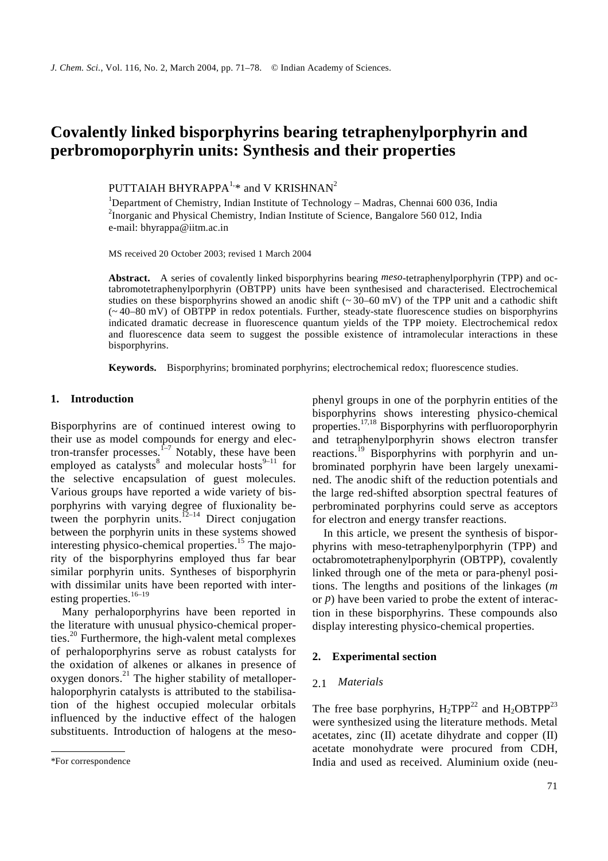# **Covalently linked bisporphyrins bearing tetraphenylporphyrin and perbromoporphyrin units: Synthesis and their properties**

PUTTAIAH BHYRAPPA $^{1,*}$  and V KRISHNAN<sup>2</sup>

<sup>1</sup>Department of Chemistry, Indian Institute of Technology - Madras, Chennai 600 036, India <sup>2</sup>Inorganic and Physical Chemistry, Indian Institute of Science, Bangalore 560 012, India e-mail: bhyrappa@iitm.ac.in

MS received 20 October 2003; revised 1 March 2004

**Abstract.** A series of covalently linked bisporphyrins bearing *meso*-tetraphenylporphyrin (TPP) and octabromotetraphenylporphyrin (OBTPP) units have been synthesised and characterised. Electrochemical studies on these bisporphyrins showed an anodic shift ( $\sim$  30–60 mV) of the TPP unit and a cathodic shift (~ 40–80 mV) of OBTPP in redox potentials. Further, steady-state fluorescence studies on bisporphyrins indicated dramatic decrease in fluorescence quantum yields of the TPP moiety. Electrochemical redox and fluorescence data seem to suggest the possible existence of intramolecular interactions in these bisporphyrins.

**Keywords.** Bisporphyrins; brominated porphyrins; electrochemical redox; fluorescence studies.

## **1. Introduction**

Bisporphyrins are of continued interest owing to their use as model compounds for energy and electron-transfer processes.<sup> $f-7$ </sup> Notably, these have been employed as catalysts<sup>8</sup> and molecular hosts<sup>9-11</sup> for the selective encapsulation of guest molecules. Various groups have reported a wide variety of bisporphyrins with varying degree of fluxionality between the porphyrin units. ${}^{12-14}$  Direct conjugation between the porphyrin units in these systems showed interesting physico-chemical properties.<sup>15</sup> The majority of the bisporphyrins employed thus far bear similar porphyrin units. Syntheses of bisporphyrin with dissimilar units have been reported with interesting properties. $16-19$ 

 Many perhaloporphyrins have been reported in the literature with unusual physico-chemical properties.<sup>20</sup> Furthermore, the high-valent metal complexes of perhaloporphyrins serve as robust catalysts for the oxidation of alkenes or alkanes in presence of oxygen donors. $^{21}$  The higher stability of metalloperhaloporphyrin catalysts is attributed to the stabilisation of the highest occupied molecular orbitals influenced by the inductive effect of the halogen substituents. Introduction of halogens at the mesophenyl groups in one of the porphyrin entities of the bisporphyrins shows interesting physico-chemical properties.17,18 Bisporphyrins with perfluoroporphyrin and tetraphenylporphyrin shows electron transfer reactions.19 Bisporphyrins with porphyrin and unbrominated porphyrin have been largely unexamined. The anodic shift of the reduction potentials and the large red-shifted absorption spectral features of perbrominated porphyrins could serve as acceptors for electron and energy transfer reactions.

 In this article, we present the synthesis of bisporphyrins with meso-tetraphenylporphyrin (TPP) and octabromotetraphenylporphyrin (OBTPP), covalently linked through one of the meta or para-phenyl positions. The lengths and positions of the linkages (*m* or *p*) have been varied to probe the extent of interaction in these bisporphyrins. These compounds also display interesting physico-chemical properties.

# **2. Experimental section**

#### 2.1 *Materials*

The free base porphyrins,  $H_2 TPP^{22}$  and  $H_2 O B TPP^{23}$ were synthesized using the literature methods. Metal acetates, zinc (II) acetate dihydrate and copper (II) acetate monohydrate were procured from CDH, India and used as received. Aluminium oxide (neu-

<sup>\*</sup>For correspondence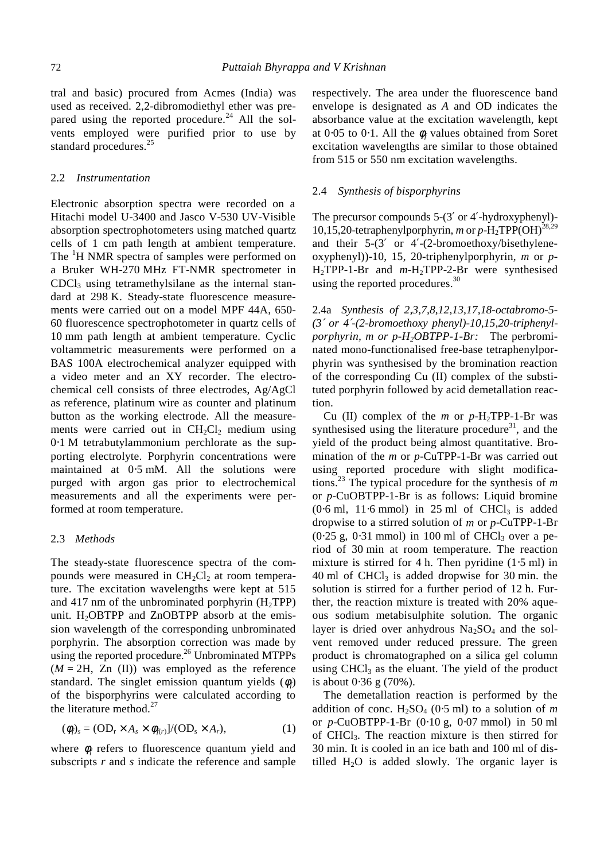tral and basic) procured from Acmes (India) was used as received. 2,2-dibromodiethyl ether was prepared using the reported procedure.<sup>24</sup> All the solvents employed were purified prior to use by standard procedures.<sup>25</sup>

## 2.2 *Instrumentation*

Electronic absorption spectra were recorded on a Hitachi model U-3400 and Jasco V-530 UV-Visible absorption spectrophotometers using matched quartz cells of 1 cm path length at ambient temperature. The <sup>1</sup>H NMR spectra of samples were performed on a Bruker WH-270 MHz FT-NMR spectrometer in  $CDCl<sub>3</sub>$  using tetramethylsilane as the internal standard at 298 K. Steady-state fluorescence measurements were carried out on a model MPF 44A, 650- 60 fluorescence spectrophotometer in quartz cells of 10 mm path length at ambient temperature. Cyclic voltammetric measurements were performed on a BAS 100A electrochemical analyzer equipped with a video meter and an XY recorder. The electrochemical cell consists of three electrodes, Ag/AgCl as reference, platinum wire as counter and platinum button as the working electrode. All the measurements were carried out in  $CH<sub>2</sub>Cl<sub>2</sub>$  medium using 0⋅1 M tetrabutylammonium perchlorate as the supporting electrolyte. Porphyrin concentrations were maintained at 0⋅5 mM. All the solutions were purged with argon gas prior to electrochemical measurements and all the experiments were performed at room temperature.

## 2.3 *Methods*

The steady-state fluorescence spectra of the compounds were measured in  $CH<sub>2</sub>Cl<sub>2</sub>$  at room temperature. The excitation wavelengths were kept at 515 and 417 nm of the unbrominated porphyrin  $(H_2TPP)$ unit.  $H_2$ OBTPP and ZnOBTPP absorb at the emission wavelength of the corresponding unbrominated porphyrin. The absorption correction was made by using the reported procedure.<sup>26</sup> Unbrominated MTPPs  $(M = 2H, Zn$  (II)) was employed as the reference standard. The singlet emission quantum yields  $(\phi_f)$ of the bisporphyrins were calculated according to the literature method. $27$ 

$$
(\phi_f)_s = (\text{OD}_r \times A_s \times \phi_{f(r)})/(\text{OD}_s \times A_r), \tag{1}
$$

where  $\phi_f$  refers to fluorescence quantum yield and subscripts *r* and *s* indicate the reference and sample respectively. The area under the fluorescence band envelope is designated as *A* and OD indicates the absorbance value at the excitation wavelength, kept at 0⋅05 to 0⋅1. All the φ*f* values obtained from Soret excitation wavelengths are similar to those obtained from 515 or 550 nm excitation wavelengths.

#### 2.4 *Synthesis of bisporphyrins*

The precursor compounds 5-(3′ or 4′-hydroxyphenyl)- 10,15,20-tetraphenylporphyrin, *m* or *p*-H<sub>2</sub>TPP(OH)<sup>28,29</sup> and their 5-(3′ or 4′-(2-bromoethoxy/bisethyleneoxyphenyl))-10, 15, 20-triphenylporphyrin, *m* or *p*-H2TPP-1-Br and *m*-H2TPP-2-Br were synthesised using the reported procedures.<sup>30</sup>

2.4a *Synthesis of 2,3,7,8,12,13,17,18-octabromo-5- (3*′ *or 4*′*-(2-bromoethoxy phenyl)-10,15,20-triphenylporphyrin, m or p-H2OBTPP-1-Br:* The perbrominated mono-functionalised free-base tetraphenylporphyrin was synthesised by the bromination reaction of the corresponding Cu (II) complex of the substituted porphyrin followed by acid demetallation reaction.

Cu (II) complex of the  $m$  or  $p-H_2$ TPP-1-Br was synthesised using the literature procedure $31$ , and the yield of the product being almost quantitative. Bromination of the *m* or *p*-CuTPP-1-Br was carried out using reported procedure with slight modifications.23 The typical procedure for the synthesis of *m* or *p*-CuOBTPP-1-Br is as follows: Liquid bromine  $(0.6 \text{ ml}, 11.6 \text{ mmol})$  in 25 ml of CHCl<sub>3</sub> is added dropwise to a stirred solution of *m* or *p*-CuTPP-1-Br  $(0.25 \text{ g}, 0.31 \text{ mmol})$  in 100 ml of CHCl<sub>3</sub> over a period of 30 min at room temperature. The reaction mixture is stirred for 4 h. Then pyridine (1⋅5 ml) in 40 ml of  $CHCl<sub>3</sub>$  is added dropwise for 30 min. the solution is stirred for a further period of 12 h. Further, the reaction mixture is treated with 20% aqueous sodium metabisulphite solution. The organic layer is dried over anhydrous  $Na<sub>2</sub>SO<sub>4</sub>$  and the solvent removed under reduced pressure. The green product is chromatographed on a silica gel column using  $CHCl<sub>3</sub>$  as the eluant. The yield of the product is about 0⋅36 g (70%).

 The demetallation reaction is performed by the addition of conc. H<sub>2</sub>SO<sub>4</sub> (0⋅5 ml) to a solution of *m* or *p*-CuOBTPP-**1**-Br (0⋅10 g, 0⋅07 mmol) in 50 ml of CHCl3. The reaction mixture is then stirred for 30 min. It is cooled in an ice bath and 100 ml of distilled  $H_2O$  is added slowly. The organic layer is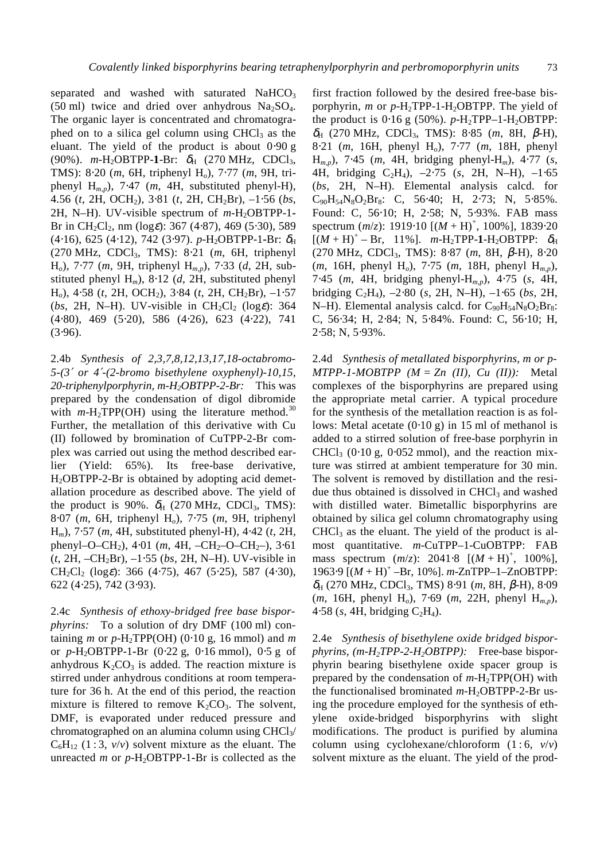separated and washed with saturated  $NAHCO<sub>3</sub>$ (50 ml) twice and dried over anhydrous  $Na<sub>2</sub>SO<sub>4</sub>$ . The organic layer is concentrated and chromatographed on to a silica gel column using  $CHCl<sub>3</sub>$  as the eluant. The yield of the product is about 0⋅90 g (90%). *m*-H<sub>2</sub>OBTPP-1-Br: δ<sub>H</sub> (270 MHz, CDCl<sub>3</sub>, TMS): 8⋅20 (*m*, 6H, triphenyl H*o*), 7⋅77 (*m*, 9H, triphenyl H*m*,*p*), 7⋅47 (*m*, 4H, substituted phenyl-H), 4.56 (*t*, 2H, OCH2), 3⋅81 (*t*, 2H, CH2Br), –1⋅56 (*bs*, 2H, N–H). UV-visible spectrum of  $m$ -H<sub>2</sub>OBTPP-1-Br in CH<sub>2</sub>Cl<sub>2</sub>, nm (log $\varepsilon$ ): 367 (4⋅87), 469 (5⋅30), 589 (4⋅16), 625 (4⋅12), 742 (3⋅97). *p*-H2OBTPP-1**-**Br: δ<sup>H</sup> (270 MHz, CDCl3, TMS): 8⋅21 (*m*, 6H, triphenyl H*o*), 7⋅77 (*m*, 9H, triphenyl H*m,p*), 7⋅33 (*d*, 2H, substituted phenyl H*m*), 8⋅12 (*d*, 2H, substituted phenyl H*o*), 4⋅58 (*t*, 2H, OCH2), 3⋅84 (*t*, 2H, CH2Br), –1⋅57 (*bs*, 2H, N–H). UV-visible in  $CH_2Cl_2$  (log $\varepsilon$ ): 364 (4⋅80), 469 (5⋅20), 586 (4⋅26), 623 (4⋅22), 741  $(3.96)$ .

2.4b *Synthesis of 2,3,7,8,12,13,17,18-octabromo-5-(3*′ *or 4*′*-(2-bromo bisethylene oxyphenyl)-10,15, 20-triphenylporphyrin, m-H2OBTPP-2-Br:* This was prepared by the condensation of digol dibromide with  $m-\text{H}_2 \text{TPP}(\text{OH})$  using the literature method.<sup>30</sup> Further, the metallation of this derivative with Cu (II) followed by bromination of CuTPP-2-Br complex was carried out using the method described earlier (Yield: 65%). Its free-base derivative,  $H_2$ OBTPP-2-Br is obtained by adopting acid demetallation procedure as described above. The yield of the product is 90%.  $\delta_H$  (270 MHz, CDCl<sub>3</sub>, TMS): 8⋅07 (*m*, 6H, triphenyl H*o*), 7⋅75 (*m*, 9H, triphenyl H*m*), 7⋅57 (*m*, 4H, substituted phenyl-H), 4⋅42 (*t*, 2H, phenyl–O–CH2), 4⋅01 (*m*, 4H, –CH2–O–CH2–), 3⋅61 (*t*, 2H, –CH2Br), –1⋅55 (*bs*, 2H, N–H). UV-visible in CH<sub>2</sub>Cl<sub>2</sub> (log $\varepsilon$ ): 366 (4⋅75), 467 (5⋅25), 587 (4⋅30), 622 (4⋅25), 742 (3⋅93).

2.4c *Synthesis of ethoxy-bridged free base bisporphyrins:* To a solution of dry DMF (100 ml) containing *m* or  $p$ -H<sub>2</sub>TPP(OH) (0⋅10 g, 16 mmol) and *m* or *p*-H2OBTPP-1**-**Br (0⋅22 g, 0⋅16 mmol), 0⋅5 g of anhydrous  $K_2CO_3$  is added. The reaction mixture is stirred under anhydrous conditions at room temperature for 36 h. At the end of this period, the reaction mixture is filtered to remove  $K_2CO_3$ . The solvent, DMF, is evaporated under reduced pressure and chromatographed on an alumina column using  $CHCl<sub>3</sub>/$  $C_6H_{12}$  (1 : 3,  $v/v$ ) solvent mixture as the eluant. The unreacted *m* or  $p$ -H<sub>2</sub>OBTPP-1-Br is collected as the

first fraction followed by the desired free-base bisporphyrin, *m* or *p*-H2TPP-1-H2OBTPP. The yield of the product is  $0.16 \text{ g}$  (50%). *p*-H<sub>2</sub>TPP–1-H<sub>2</sub>OBTPP: δH (270 MHz, CDCl3, TMS): 8⋅85 (*m*, 8H, β-H), 8⋅21 (*m*, 16H, phenyl H*o*), 7⋅77 (*m*, 18H, phenyl H*m,p*), 7⋅45 (*m*, 4H, bridging phenyl-H*m*), 4⋅77 (*s*, 4H, bridging C2H4), –2⋅75 (*s*, 2H, N–H), –1⋅65 (*bs*, 2H, N–H). Elemental analysis calcd. for  $C_{90}H_{54}N_8O_2Br_8$ : C, 56⋅40; H, 2⋅73; N, 5⋅85%. Found: C, 56⋅10; H, 2⋅58; N, 5⋅93%. FAB mass spectrum (*m*/*z*): 1919⋅10 [(*M* + H)<sup>+</sup>, 100%], 1839⋅20  $[(M + H)^{+} - Br, 11\%]$ . *m*-H<sub>2</sub>TPP-1-H<sub>2</sub>OBTPP:  $\delta_{H}$ (270 MHz, CDCl3, TMS): 8⋅87 (*m*, 8H, β-H), 8⋅20 (*m*, 16H, phenyl H*o*), 7⋅75 (*m*, 18H, phenyl H*m*,*p*), 7⋅45 (*m*, 4H, bridging phenyl-H*m*,*p*), 4⋅75 (*s*, 4H, bridging C2H4), –2⋅80 (*s*, 2H, N–H), –1⋅65 (*bs*, 2H, N–H). Elemental analysis calcd. for  $C_{90}H_{54}N_8O_2Br_8$ : C, 56⋅34; H, 2⋅84; N, 5⋅84%. Found: C, 56⋅10; H, 2⋅58; N, 5⋅93%.

2.4d *Synthesis of metallated bisporphyrins, m or p-* $MTPP-1-MOBTPP$  ( $M = Zn$  (II),  $Cu$  (II)): Metal complexes of the bisporphyrins are prepared using the appropriate metal carrier. A typical procedure for the synthesis of the metallation reaction is as follows: Metal acetate (0⋅10 g) in 15 ml of methanol is added to a stirred solution of free-base porphyrin in CHCl<sub>3</sub> ( $0.10$  g,  $0.052$  mmol), and the reaction mixture was stirred at ambient temperature for 30 min. The solvent is removed by distillation and the residue thus obtained is dissolved in  $CHCl<sub>3</sub>$  and washed with distilled water. Bimetallic bisporphyrins are obtained by silica gel column chromatography using  $CHCl<sub>3</sub>$  as the eluant. The yield of the product is almost quantitative. *m*-CuTPP–1-CuOBTPP: FAB mass spectrum  $(m/z)$ : 2041⋅8  $[(M + H)^{+}, 100\%]$ , 1963⋅9 [(*M* + H)<sup>+</sup> –Br, 10%]. *m*-ZnTPP–1–ZnOBTPP: δH (270 MHz, CDCl3, TMS) 8⋅91 (*m*, 8H, β-H), 8⋅09 (*m*, 16H, phenyl H*o*), 7⋅69 (*m*, 22H, phenyl H*m*,*p*), 4⋅58 (s, 4H, bridging  $C_2H_4$ ).

2.4e *Synthesis of bisethylene oxide bridged bisporphyrins, (m-H2TPP-2-H2OBTPP):* Free-base bisporphyrin bearing bisethylene oxide spacer group is prepared by the condensation of *m*-H2TPP(OH) with the functionalised brominated *m*-H<sub>2</sub>OBTPP-2-Br using the procedure employed for the synthesis of ethylene oxide-bridged bisporphyrins with slight modifications. The product is purified by alumina column using cyclohexane/chloroform  $(1:6, v/v)$ solvent mixture as the eluant. The yield of the prod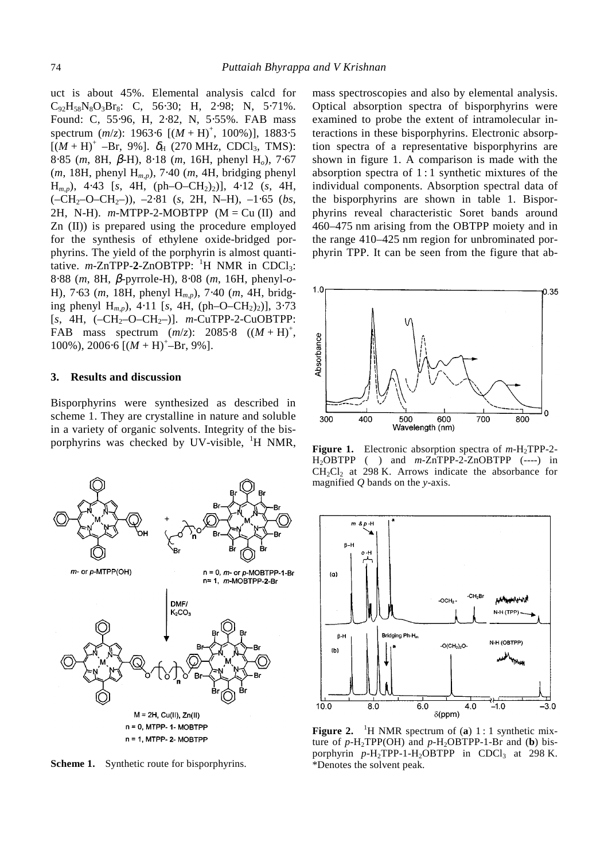uct is about 45%. Elemental analysis calcd for  $C_{92}H_{58}N_8O_3Br_8$ : C, 56⋅30; H, 2⋅98; N, 5⋅71%. Found: C, 55⋅96, H, 2⋅82, N, 5⋅55%. FAB mass spectrum (*m*/*z*): 1963⋅6 [(*M* + H)<sup>+</sup>, 100%)], 1883⋅5  $[(M + H)^{+} - Br, 9\%]$ .  $\delta_{H}$  (270 MHz, CDCl<sub>3</sub>, TMS): 8⋅85 (*m*, 8H, β-H), 8⋅18 (*m*, 16H, phenyl H*o*), 7⋅67 (*m*, 18H, phenyl H*m*,*p*), 7⋅40 (*m*, 4H, bridging phenyl H*m*,*p*), 4⋅43 [*s*, 4H, (ph–O–CH2)2)], 4⋅12 (*s*, 4H, (–CH2–O–CH2–)), –2⋅81 (*s*, 2H, N–H), –1⋅65 (*bs*, 2H, N-H).  $m$ -MTPP-2-MOBTPP ( $M = Cu$  (II) and Zn (II)) is prepared using the procedure employed for the synthesis of ethylene oxide-bridged porphyrins. The yield of the porphyrin is almost quantitative.  $m$ -ZnTPP-2-ZnOBTPP:  $1$ <sup>H</sup> NMR in CDCl<sub>3</sub>: 8⋅88 (*m*, 8H, β-pyrrole-H), 8⋅08 (*m*, 16H, phenyl-*o*-H), 7⋅63 (*m*, 18H, phenyl H*m*,*p*), 7⋅40 (*m*, 4H, bridging phenyl  $H_{m,p}$ ), 4⋅11 [*s*, 4H, (ph–O–CH<sub>2</sub>)<sub>2</sub>)], 3⋅73  $[s, 4H, (-CH_2-O-CH_2-)]$ . *m*-CuTPP-2-CuOBTPP: FAB mass spectrum  $(m/z)$ : 2085⋅8  $((M + H)^+,$ 100%), 2006⋅6 [(*M* + H)<sup>+</sup>-Br, 9%].

## **3. Results and discussion**

Bisporphyrins were synthesized as described in scheme 1. They are crystalline in nature and soluble in a variety of organic solvents. Integrity of the bisporphyrins was checked by UV-visible, <sup>1</sup>H NMR,



**Scheme 1.** Synthetic route for bisporphyrins.

mass spectroscopies and also by elemental analysis. Optical absorption spectra of bisporphyrins were examined to probe the extent of intramolecular interactions in these bisporphyrins. Electronic absorption spectra of a representative bisporphyrins are shown in figure 1. A comparison is made with the absorption spectra of 1 : 1 synthetic mixtures of the individual components. Absorption spectral data of the bisporphyrins are shown in table 1. Bisporphyrins reveal characteristic Soret bands around 460–475 nm arising from the OBTPP moiety and in the range 410–425 nm region for unbrominated porphyrin TPP. It can be seen from the figure that ab-



**Figure 1.** Electronic absorption spectra of *m*-H2TPP-2- H<sub>2</sub>OBTPP (--) and *m*-ZnTPP-2-ZnOBTPP (----) in  $CH<sub>2</sub>Cl<sub>2</sub>$  at 298 K. Arrows indicate the absorbance for magnified *Q* bands on the *y*-axis.



**Figure 2.** <sup>1</sup>H NMR spectrum of (a) 1 : 1 synthetic mixture of  $p$ -H<sub>2</sub>TPP(OH) and  $p$ -H<sub>2</sub>OBTPP-1-Br and (**b**) bisporphyrin  $p$ -H<sub>2</sub>TPP-1-H<sub>2</sub>OBTPP in CDCl<sub>3</sub> at 298 K. \*Denotes the solvent peak.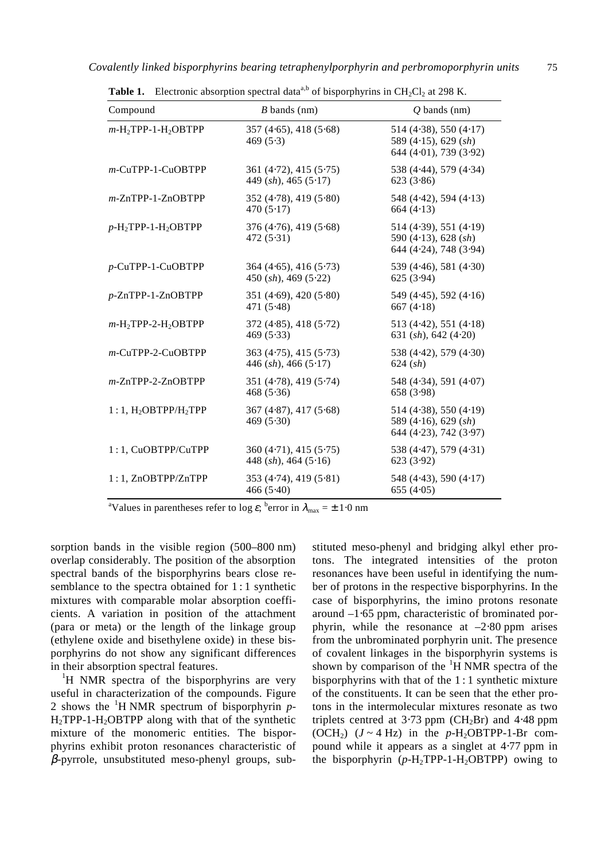| Compound                                       | $B$ bands (nm)                                      | $Q$ bands (nm)                                                             |
|------------------------------------------------|-----------------------------------------------------|----------------------------------------------------------------------------|
| $m$ -H <sub>2</sub> TPP-1-H <sub>2</sub> OBTPP | 357(4.65), 418(5.68)<br>469(5.3)                    | 514 (4.38), 550 (4.17)<br>589 (4.15), 629 $(sh)$<br>644 (4.01), 739 (3.92) |
| m-CuTPP-1-CuOBTPP                              | 361 (4.72), 415 (5.75)<br>449 $(sh)$ , 465 $(5.17)$ | 538 (4.44), 579 (4.34)<br>623(3.86)                                        |
| $m$ -ZnTPP-1-ZnOBTPP                           | 352(4.78), 419(5.80)<br>470 $(5.17)$                | 548(4.42), 594(4.13)<br>664 $(4.13)$                                       |
| $p$ -H <sub>2</sub> TPP-1-H <sub>2</sub> OBTPP | 376(4.76), 419(5.68)<br>472(5.31)                   | 514(4.39), 551(4.19)<br>590 (4.13), 628 $(sh)$<br>644 (4.24), 748 (3.94)   |
| p-CuTPP-1-CuOBTPP                              | 364(4.65), 416(5.73)<br>$450$ (sh), $469$ (5.22)    | 539 (4.46), 581 (4.30)<br>625(3.94)                                        |
| p-ZnTPP-1-ZnOBTPP                              | 351(4.69), 420(5.80)<br>471 $(5.48)$                | 549 (4.45), 592 (4.16)<br>667 $(4.18)$                                     |
| $m$ -H <sub>2</sub> TPP-2-H <sub>2</sub> OBTPP | 372(4.85), 418(5.72)<br>469(5.33)                   | 513 $(4.42)$ , 551 $(4.18)$<br>631 $(sh), 642 (4.20)$                      |
| $m$ -CuTPP-2-CuOBTPP                           | 363(4.75), 415(5.73)<br>446 $(sh)$ , 466 $(5.17)$   | 538 (4.42), 579 (4.30)<br>624 (sh)                                         |
| $m$ -ZnTPP-2-ZnOBTPP                           | 351(4.78), 419(5.74)<br>468(5.36)                   | 548 (4.34), 591 (4.07)<br>658 (3.98)                                       |
| $1:1, H2OBTPP/H2TPP$                           | 367(4.87), 417(5.68)<br>469(5.30)                   | 514 (4.38), 550 (4.19)<br>589 (4.16), 629 $(sh)$<br>644 (4.23), 742 (3.97) |
| 1:1, CuOBTPP/CuTPP                             | 360(4.71), 415(5.75)<br>448 $(sh)$ , 464 $(5.16)$   | 538 (4.47), 579 (4.31)<br>623(3.92)                                        |
| 1:1, ZnOBTPP/ZnTPP                             | 353(4.74), 419(5.81)<br>466(5.40)                   | 548 (4.43), 590 (4.17)<br>655 $(4.05)$                                     |

**Table 1.** Electronic absorption spectral data<sup>a,b</sup> of bisporphyrins in  $CH_2Cl_2$  at 298 K.

<sup>a</sup>Values in parentheses refer to log  $\varepsilon$ ; <sup>b</sup>error in  $\lambda_{\text{max}} = \pm 1.0 \text{ nm}$ 

sorption bands in the visible region (500–800 nm) overlap considerably. The position of the absorption spectral bands of the bisporphyrins bears close resemblance to the spectra obtained for 1:1 synthetic mixtures with comparable molar absorption coefficients. A variation in position of the attachment (para or meta) or the length of the linkage group (ethylene oxide and bisethylene oxide) in these bisporphyrins do not show any significant differences in their absorption spectral features.

<sup>1</sup>H NMR spectra of the bisporphyrins are very useful in characterization of the compounds. Figure 2 shows the <sup>1</sup> H NMR spectrum of bisporphyrin *p*- $H_2$ TPP-1-H<sub>2</sub>OBTPP along with that of the synthetic mixture of the monomeric entities. The bisporphyrins exhibit proton resonances characteristic of  $\beta$ -pyrrole, unsubstituted meso-phenyl groups, substituted meso-phenyl and bridging alkyl ether protons. The integrated intensities of the proton resonances have been useful in identifying the number of protons in the respective bisporphyrins. In the case of bisporphyrins, the imino protons resonate around –1⋅65 ppm, characteristic of brominated porphyrin, while the resonance at  $-2.80$  ppm arises from the unbrominated porphyrin unit. The presence of covalent linkages in the bisporphyrin systems is shown by comparison of the  ${}^{1}H$  NMR spectra of the bisporphyrins with that of the 1 : 1 synthetic mixture of the constituents. It can be seen that the ether protons in the intermolecular mixtures resonate as two triplets centred at  $3.73$  ppm (CH<sub>2</sub>Br) and  $4.48$  ppm (OCH<sub>2</sub>)  $(J \sim 4$  Hz) in the *p*-H<sub>2</sub>OBTPP-1-Br compound while it appears as a singlet at 4⋅77 ppm in the bisporphyrin  $(p-H_2TPP-1-H_2OBTPP)$  owing to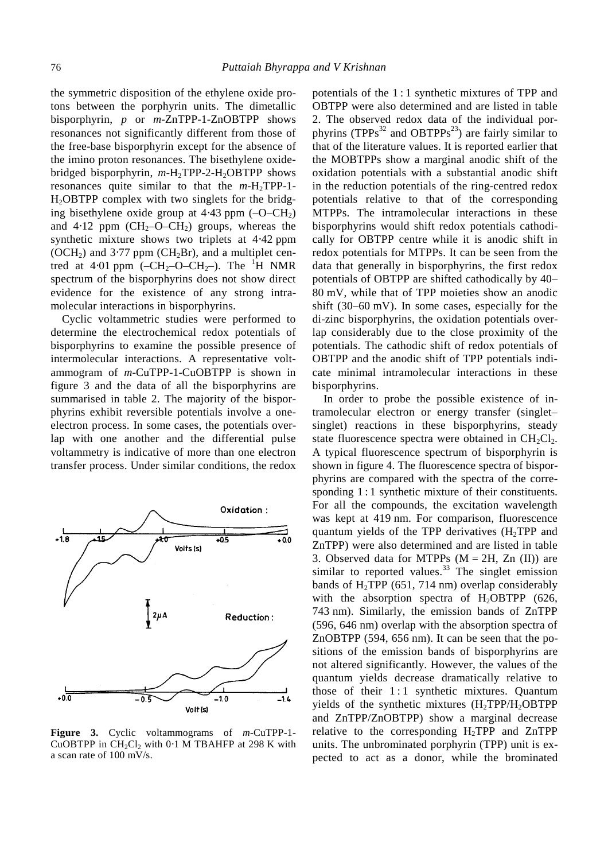the symmetric disposition of the ethylene oxide protons between the porphyrin units. The dimetallic bisporphyrin, *p* or *m*-ZnTPP-1-ZnOBTPP shows resonances not significantly different from those of the free-base bisporphyrin except for the absence of the imino proton resonances. The bisethylene oxidebridged bisporphyrin, *m*-H2TPP-2-H2OBTPP shows resonances quite similar to that the  $m-H_2TPP-1$ -H2OBTPP complex with two singlets for the bridging bisethylene oxide group at  $4.43$  ppm  $(-O-CH<sub>2</sub>)$ and  $4.12$  ppm  $(CH_2-O-CH_2)$  groups, whereas the synthetic mixture shows two triplets at 4⋅42 ppm (OCH<sub>2</sub>) and 3⋅77 ppm (CH<sub>2</sub>Br), and a multiplet centred at 4⋅01 ppm (-CH<sub>2</sub>-O–CH<sub>2</sub>-). The <sup>1</sup>H NMR spectrum of the bisporphyrins does not show direct evidence for the existence of any strong intramolecular interactions in bisporphyrins.

 Cyclic voltammetric studies were performed to determine the electrochemical redox potentials of bisporphyrins to examine the possible presence of intermolecular interactions. A representative voltammogram of *m*-CuTPP-1-CuOBTPP is shown in figure 3 and the data of all the bisporphyrins are summarised in table 2. The majority of the bisporphyrins exhibit reversible potentials involve a oneelectron process. In some cases, the potentials overlap with one another and the differential pulse voltammetry is indicative of more than one electron transfer process. Under similar conditions, the redox



**Figure 3.** Cyclic voltammograms of *m*-CuTPP-1- CuOBTPP in  $CH_2Cl_2$  with 0⋅1 M TBAHFP at 298 K with a scan rate of 100 mV/s.

potentials of the 1 : 1 synthetic mixtures of TPP and OBTPP were also determined and are listed in table 2. The observed redox data of the individual porphyrins (TPPs<sup>32</sup> and OBTPPs<sup>23</sup>) are fairly similar to that of the literature values. It is reported earlier that the MOBTPPs show a marginal anodic shift of the oxidation potentials with a substantial anodic shift in the reduction potentials of the ring-centred redox potentials relative to that of the corresponding MTPPs. The intramolecular interactions in these bisporphyrins would shift redox potentials cathodically for OBTPP centre while it is anodic shift in redox potentials for MTPPs. It can be seen from the data that generally in bisporphyrins, the first redox potentials of OBTPP are shifted cathodically by 40– 80 mV, while that of TPP moieties show an anodic shift (30–60 mV). In some cases, especially for the di-zinc bisporphyrins, the oxidation potentials overlap considerably due to the close proximity of the potentials. The cathodic shift of redox potentials of OBTPP and the anodic shift of TPP potentials indicate minimal intramolecular interactions in these bisporphyrins.

 In order to probe the possible existence of intramolecular electron or energy transfer (singlet– singlet) reactions in these bisporphyrins, steady state fluorescence spectra were obtained in  $CH_2Cl_2$ . A typical fluorescence spectrum of bisporphyrin is shown in figure 4. The fluorescence spectra of bisporphyrins are compared with the spectra of the corresponding 1:1 synthetic mixture of their constituents. For all the compounds, the excitation wavelength was kept at 419 nm. For comparison, fluorescence quantum yields of the TPP derivatives  $(H_2TPP)$  and ZnTPP) were also determined and are listed in table 3. Observed data for MTPPs  $(M = 2H, Zn$  (II)) are similar to reported values. $33$  The singlet emission bands of  $H_2$ TPP (651, 714 nm) overlap considerably with the absorption spectra of  $H_2$ OBTPP (626, 743 nm). Similarly, the emission bands of ZnTPP (596, 646 nm) overlap with the absorption spectra of ZnOBTPP (594, 656 nm). It can be seen that the positions of the emission bands of bisporphyrins are not altered significantly. However, the values of the quantum yields decrease dramatically relative to those of their  $1:1$  synthetic mixtures. Quantum yields of the synthetic mixtures (H2TPP/H2OBTPP and ZnTPP/ZnOBTPP) show a marginal decrease relative to the corresponding  $H_2TPP$  and  $ZnTPP$ units. The unbrominated porphyrin (TPP) unit is expected to act as a donor, while the brominated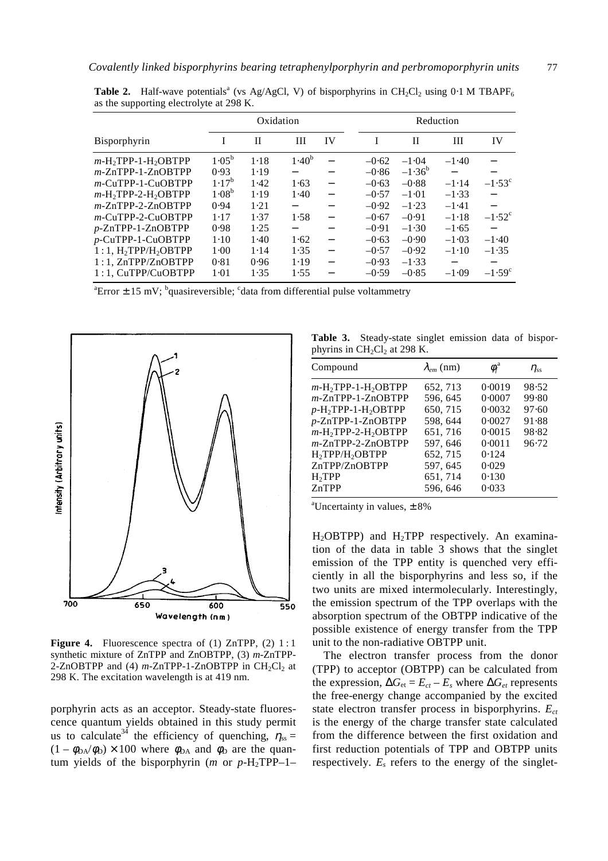|                                                | Oxidation  |              |            | Reduction                |  |         |              |                          |                 |
|------------------------------------------------|------------|--------------|------------|--------------------------|--|---------|--------------|--------------------------|-----------------|
| Bisporphyrin                                   | I          | $\mathbf{I}$ | III        | IV                       |  | T       | $\mathbf{I}$ | Ш                        | IV              |
| $m$ -H <sub>2</sub> TPP-1-H <sub>2</sub> OBTPP | $1.05^{b}$ | 1.18         | $1.40^{b}$ |                          |  | $-0.62$ | $-1.04$      | $-1.40$                  |                 |
| $m$ -ZnTPP-1-ZnOBTPP                           | 0.93       | 1.19         |            |                          |  | $-0.86$ | $-1.36^{b}$  |                          |                 |
| $m$ -CuTPP-1-CuOBTPP                           | $1.17^{b}$ | 1.42         | 1.63       | $\overline{\phantom{0}}$ |  | $-0.63$ | $-0.88$      | $-1.14$                  | $-1.53^{\circ}$ |
| $m$ -H <sub>2</sub> TPP-2-H <sub>2</sub> OBTPP | $1.08^{b}$ | 1.19         | 1.40       | $\overline{\phantom{0}}$ |  | $-0.57$ | $-1.01$      | $-1.33$                  |                 |
| $m$ -ZnTPP-2-ZnOBTPP                           | 0.94       | 1.21         |            |                          |  | $-0.92$ | $-1.23$      | $-1.41$                  |                 |
| $m$ -CuTPP-2-CuOBTPP                           | 1.17       | 1.37         | 1.58       |                          |  | $-0.67$ | $-0.91$      | $-1.18$                  | $-1.52^{\circ}$ |
| p-ZnTPP-1-ZnOBTPP                              | 0.98       | 1.25         |            |                          |  | $-0.91$ | $-1.30$      | $-1.65$                  |                 |
| p-CuTPP-1-CuOBTPP                              | $1-10$     | 1.40         | 1.62       | $\overline{\phantom{0}}$ |  | $-0.63$ | $-0.90$      | $-1.03$                  | $-1.40$         |
| $1:1.$ H <sub>2</sub> TPP/H <sub>2</sub> OBTPP | 1.00       | 1.14         | 1.35       | $\overline{\phantom{0}}$ |  | $-0.57$ | $-0.92$      | $-1.10$                  | $-1.35$         |
| $1:1$ , $ZnTPP/ZnOBTPP$                        | 0.81       | 0.96         | 1.19       | $\overline{\phantom{0}}$ |  | $-0.93$ | $-1.33$      | $\overline{\phantom{0}}$ | —               |
| 1:1, CuTPP/CuOBTPP                             | 1.01       | 1.35         | 1.55       |                          |  | $-0.59$ | $-0.85$      | $-1.09$                  | $-1.59^{\circ}$ |

**Table 2.** Half-wave potentials<sup>a</sup> (vs Ag/AgCl, V) of bisporphyrins in CH<sub>2</sub>Cl<sub>2</sub> using 0⋅1 M TBAPF<sub>6</sub> as the supporting electrolyte at 298 K.

<sup>a</sup> Error  $\pm$  15 mV; <sup>b</sup>quasireversible; <sup>c</sup>data from differential pulse voltammetry



Figure 4. Fluorescence spectra of (1) ZnTPP, (2) 1:1 synthetic mixture of ZnTPP and ZnOBTPP, (3) *m*-ZnTPP-2-ZnOBTPP and (4)  $m$ -ZnTPP-1-ZnOBTPP in  $CH_2Cl_2$  at 298 K. The excitation wavelength is at 419 nm.

porphyrin acts as an acceptor. Steady-state fluorescence quantum yields obtained in this study permit us to calculate<sup>34</sup> the efficiency of quenching,  $\eta_{ss} =$  $(1 - \phi_{DA}/\phi_D) \times 100$  where  $\phi_{DA}$  and  $\phi_D$  are the quantum yields of the bisporphyrin (*m* or  $p$ -H<sub>2</sub>TPP–1–

**Table 3.** Steady-state singlet emission data of bisporphyrins in  $CH<sub>2</sub>Cl<sub>2</sub>$  at 298 K.

| Compound                                                                                                                                                                                                                                                                            | $\lambda_{em}$ (nm)                                                                         | $\phi_f^{\rm a}$                                                                    | $\eta_{ss}$                                        |  |
|-------------------------------------------------------------------------------------------------------------------------------------------------------------------------------------------------------------------------------------------------------------------------------------|---------------------------------------------------------------------------------------------|-------------------------------------------------------------------------------------|----------------------------------------------------|--|
| $m$ -H <sub>2</sub> TPP-1-H <sub>2</sub> OBTPP<br>$m$ -ZnTPP-1-ZnOBTPP<br>$p$ -H <sub>2</sub> TPP-1-H <sub>2</sub> OBTPP<br>p-ZnTPP-1-ZnOBTPP<br>$m$ -H <sub>2</sub> TPP-2-H <sub>2</sub> OBTPP<br>$m$ -ZnTPP-2-ZnOBTPP<br>H <sub>2</sub> TPP/H <sub>2</sub> OBTPP<br>ZnTPP/ZnOBTPP | 652, 713<br>596, 645<br>650, 715<br>598, 644<br>651,716<br>597, 646<br>652, 715<br>597, 645 | 0.0019<br>0.0007<br>0.0032<br>0.0027<br>0.0015<br>0.0011<br>0.124<br>0.029<br>0.130 | 98.52<br>99.80<br>97.60<br>91.88<br>98.82<br>96.72 |  |
| H <sub>2</sub> TPP<br>ZnTPP                                                                                                                                                                                                                                                         | 651, 714<br>596, 646                                                                        | 0.033                                                                               |                                                    |  |
|                                                                                                                                                                                                                                                                                     |                                                                                             |                                                                                     |                                                    |  |

<sup>a</sup>Uncertainty in values,  $\pm 8\%$ 

 $H<sub>2</sub>OBTPP$ ) and  $H<sub>2</sub>TPP$  respectively. An examination of the data in table 3 shows that the singlet emission of the TPP entity is quenched very efficiently in all the bisporphyrins and less so, if the two units are mixed intermolecularly. Interestingly, the emission spectrum of the TPP overlaps with the absorption spectrum of the OBTPP indicative of the possible existence of energy transfer from the TPP unit to the non-radiative OBTPP unit.

 The electron transfer process from the donor (TPP) to acceptor (OBTPP) can be calculated from the expression,  $\Delta G_{et} = E_{ct} - E_s$  where  $\Delta G_{et}$  represents the free-energy change accompanied by the excited state electron transfer process in bisporphyrins. *Ect* is the energy of the charge transfer state calculated from the difference between the first oxidation and first reduction potentials of TPP and OBTPP units respectively.  $E_s$  refers to the energy of the singlet